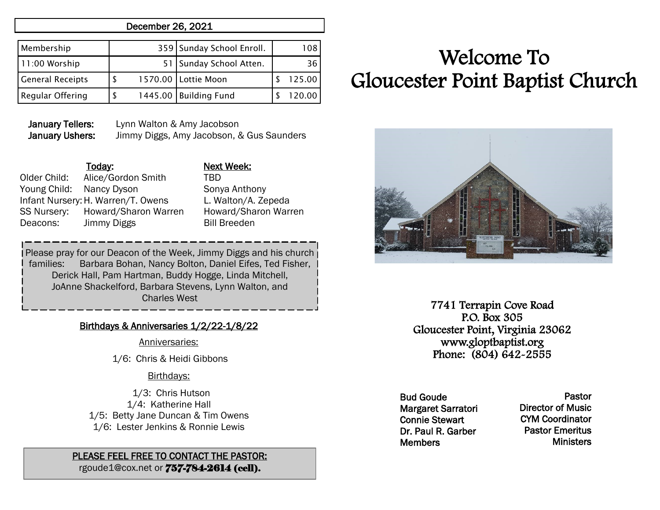# December 26, 2021

| Membership              |  | 359 Sunday School Enroll. | 108    |
|-------------------------|--|---------------------------|--------|
| 11:00 Worship           |  | 51 Sunday School Atten.   | 36     |
| <b>General Receipts</b> |  | 1570.00   Lottie Moon     | 125.00 |
| <b>Regular Offering</b> |  | 1445.00 Building Fund     |        |

January Tellers: Lynn Walton & Amy Jacobson January Ushers: Jimmy Diggs, Amy Jacobson, & Gus Saunders

# Today: Next Week:

Older Child: Alice/Gordon Smith TBD Young Child: Nancy Dyson Sonya Anthony Infant Nursery:H. Warren/T. Owens L. Walton/A. Zepeda SS Nursery: Howard/Sharon Warren Howard/Sharon Warren Deacons: Jimmy Diggs Bill Breeden

Please pray for our Deacon of the Week, Jimmy Diggs and his church families: Barbara Bohan, Nancy Bolton, Daniel Eifes, Ted Fisher, Derick Hall, Pam Hartman, Buddy Hogge, Linda Mitchell, JoAnne Shackelford, Barbara Stevens, Lynn Walton, and Charles West

# Birthdays & Anniversaries 1/2/22-1/8/22

### Anniversaries:

1/6: Chris & Heidi Gibbons

### Birthdays:

 1/3: Chris Hutson 1/4: Katherine Hall 1/5: Betty Jane Duncan & Tim Owens 1/6: Lester Jenkins & Ronnie Lewis

# PLEASE FEEL FREE TO CONTACT THE PASTOR:

rgoude1@cox.net or 757-784-2614 (cell).

# Welcome To Gloucester Point Baptist Church



7741 Terrapin Cove Road P.O. Box 305 Gloucester Point, Virginia 23062 www.gloptbaptist.org Phone: (804) 642-2555

Bud Goude Margaret Sarratori Connie Stewart Dr. Paul R. Garber **Members** 

Pastor Director of Music CYM Coordinator Pastor Emeritus **Ministers**